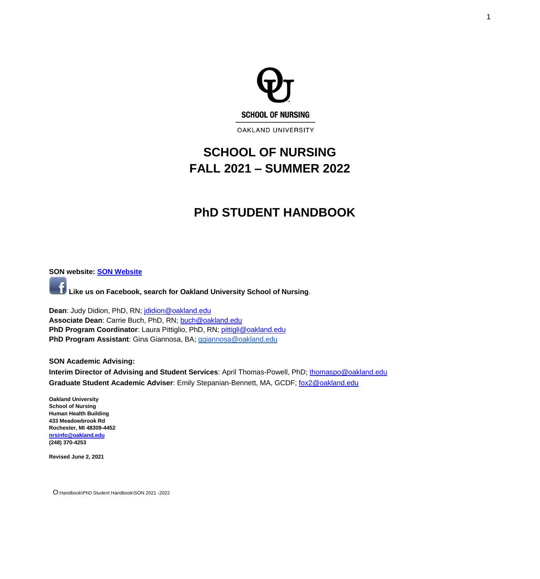

# **SCHOOL OF NURSING FALL 2021 – SUMMER 2022**

# **PhD STUDENT HANDBOOK**

<span id="page-0-0"></span>**SON website: [SON Website](http://www.oakland.edu/nursing)**

**Like us on Facebook, search for Oakland University School of Nursing**.

**Dean**: Judy Didion, PhD, RN; [jdidion@oakland.edu](mailto:jdidion@oakland.edu) **Associate Dean**: Carrie Buch, PhD, RN; [buch@oakland.edu](mailto:moore@oakland.edu) **PhD Program Coordinator:** Laura Pittiglio, PhD, RN; [pittigli@oakland.edu](mailto:pittigli@oakland.edu) **PhD Program Assistant**: Gina Giannosa, BA; [ggiannosa@oakland.edu](mailto:ggiannosa@oakland.edu)

**SON Academic Advising:**

**Interim Director of Advising and Student Services**: April Thomas-Powell, PhD; [thomaspo@oakland.edu](mailto:thomaspo@oakland.edu) **Graduate Student Academic Adviser**: Emily Stepanian-Bennett, MA, GCDF; [fox2@oakland.edu](mailto:fox2@oakland.edu)

**Oakland University School of Nursing Human Health Building 433 Meadowbrook Rd Rochester, MI 48309-4452 [nrsinfo@oakland.edu](mailto:nrsinfo@oakland.edu) (248) 370-4253**

**Revised June 2, 2021**

O:Handbook\PhD Student Handbook\SON 2021 -2022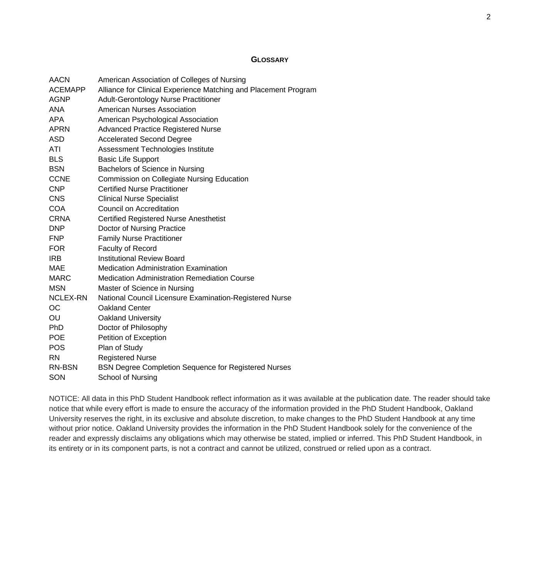#### **GLOSSARY**

<span id="page-1-0"></span>

| <b>AACN</b>     | American Association of Colleges of Nursing                     |
|-----------------|-----------------------------------------------------------------|
| <b>ACEMAPP</b>  | Alliance for Clinical Experience Matching and Placement Program |
| <b>AGNP</b>     | <b>Adult-Gerontology Nurse Practitioner</b>                     |
| <b>ANA</b>      | <b>American Nurses Association</b>                              |
| <b>APA</b>      | American Psychological Association                              |
| <b>APRN</b>     | <b>Advanced Practice Registered Nurse</b>                       |
| <b>ASD</b>      | <b>Accelerated Second Degree</b>                                |
| ATI             | Assessment Technologies Institute                               |
| <b>BLS</b>      | <b>Basic Life Support</b>                                       |
| <b>BSN</b>      | Bachelors of Science in Nursing                                 |
| <b>CCNE</b>     | <b>Commission on Collegiate Nursing Education</b>               |
| <b>CNP</b>      | <b>Certified Nurse Practitioner</b>                             |
| <b>CNS</b>      | <b>Clinical Nurse Specialist</b>                                |
| <b>COA</b>      | <b>Council on Accreditation</b>                                 |
| <b>CRNA</b>     | <b>Certified Registered Nurse Anesthetist</b>                   |
| <b>DNP</b>      | Doctor of Nursing Practice                                      |
| <b>FNP</b>      | <b>Family Nurse Practitioner</b>                                |
| <b>FOR</b>      | <b>Faculty of Record</b>                                        |
| <b>IRB</b>      | <b>Institutional Review Board</b>                               |
| MAE             | <b>Medication Administration Examination</b>                    |
| <b>MARC</b>     | <b>Medication Administration Remediation Course</b>             |
| <b>MSN</b>      | Master of Science in Nursing                                    |
| <b>NCLEX-RN</b> | National Council Licensure Examination-Registered Nurse         |
| <b>OC</b>       | <b>Oakland Center</b>                                           |
| OU              | <b>Oakland University</b>                                       |
| PhD             | Doctor of Philosophy                                            |
| <b>POE</b>      | <b>Petition of Exception</b>                                    |
| <b>POS</b>      | Plan of Study                                                   |
| <b>RN</b>       | <b>Registered Nurse</b>                                         |
| <b>RN-BSN</b>   | <b>BSN Degree Completion Sequence for Registered Nurses</b>     |
| SON             | <b>School of Nursing</b>                                        |

NOTICE: All data in this PhD Student Handbook reflect information as it was available at the publication date. The reader should take notice that while every effort is made to ensure the accuracy of the information provided in the PhD Student Handbook, Oakland University reserves the right, in its exclusive and absolute discretion, to make changes to the PhD Student Handbook at any time without prior notice. Oakland University provides the information in the PhD Student Handbook solely for the convenience of the reader and expressly disclaims any obligations which may otherwise be stated, implied or inferred. This PhD Student Handbook, in its entirety or in its component parts, is not a contract and cannot be utilized, construed or relied upon as a contract.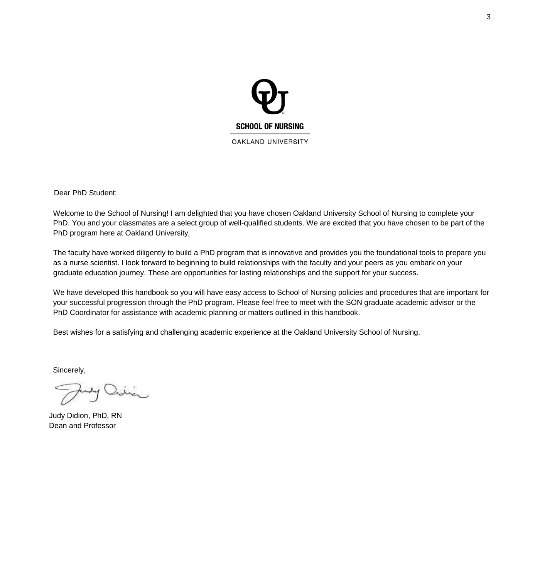

Dear PhD Student:

Welcome to the School of Nursing! I am delighted that you have chosen Oakland University School of Nursing to complete your PhD. You and your classmates are a select group of well-qualified students. We are excited that you have chosen to be part of the PhD program here at Oakland University*.*

The faculty have worked diligently to build a PhD program that is innovative and provides you the foundational tools to prepare you as a nurse scientist. I look forward to beginning to build relationships with the faculty and your peers as you embark on your graduate education journey. These are opportunities for lasting relationships and the support for your success.

We have developed this handbook so you will have easy access to School of Nursing policies and procedures that are important for your successful progression through the PhD program. Please feel free to meet with the SON graduate academic advisor or the PhD Coordinator for assistance with academic planning or matters outlined in this handbook.

Best wishes for a satisfying and challenging academic experience at the Oakland University School of Nursing.

Sincerely,

Judy Didion, PhD, RN Dean and Professor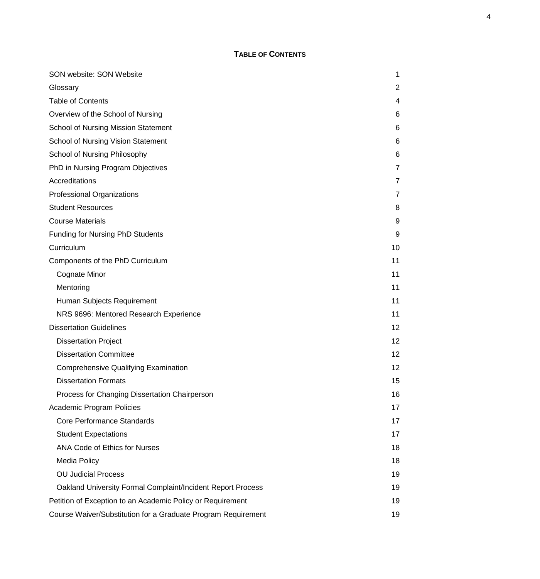# **TABLE OF CONTENTS**

<span id="page-3-0"></span>

| SON website: SON Website                                      | 1              |
|---------------------------------------------------------------|----------------|
| Glossary                                                      | $\overline{2}$ |
| <b>Table of Contents</b>                                      | 4              |
| Overview of the School of Nursing                             | 6              |
| <b>School of Nursing Mission Statement</b>                    | 6              |
| <b>School of Nursing Vision Statement</b>                     | 6              |
| School of Nursing Philosophy                                  | 6              |
| PhD in Nursing Program Objectives                             | 7              |
| Accreditations                                                | 7              |
| <b>Professional Organizations</b>                             | 7              |
| <b>Student Resources</b>                                      | 8              |
| <b>Course Materials</b>                                       | 9              |
| <b>Funding for Nursing PhD Students</b>                       | 9              |
| Curriculum                                                    | 10             |
| Components of the PhD Curriculum                              | 11             |
| Cognate Minor                                                 | 11             |
| Mentoring                                                     | 11             |
| Human Subjects Requirement                                    | 11             |
| NRS 9696: Mentored Research Experience                        | 11             |
| <b>Dissertation Guidelines</b>                                | $12 \,$        |
| <b>Dissertation Project</b>                                   | 12             |
| <b>Dissertation Committee</b>                                 | 12             |
| <b>Comprehensive Qualifying Examination</b>                   | 12             |
| <b>Dissertation Formats</b>                                   | 15             |
| Process for Changing Dissertation Chairperson                 | 16             |
| Academic Program Policies                                     | 17             |
| Core Performance Standards                                    | 17             |
| <b>Student Expectations</b>                                   | 17             |
| <b>ANA Code of Ethics for Nurses</b>                          | 18             |
| <b>Media Policy</b>                                           | 18             |
| <b>OU Judicial Process</b>                                    | 19             |
| Oakland University Formal Complaint/Incident Report Process   | 19             |
| Petition of Exception to an Academic Policy or Requirement    | 19             |
| Course Waiver/Substitution for a Graduate Program Requirement | 19             |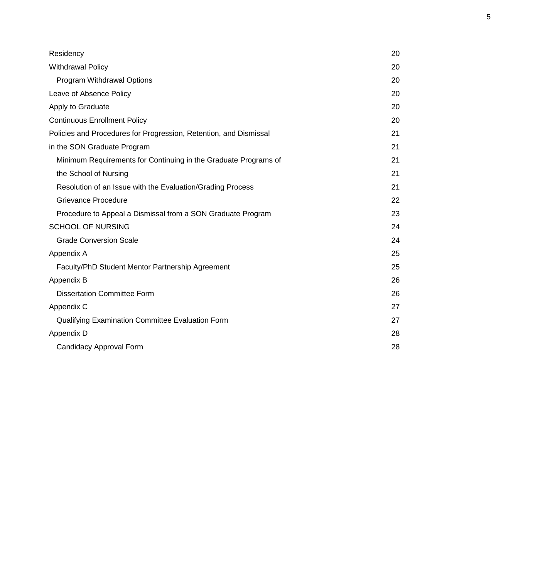| Residency                                                         | 20 |
|-------------------------------------------------------------------|----|
| <b>Withdrawal Policy</b>                                          | 20 |
| <b>Program Withdrawal Options</b>                                 | 20 |
| Leave of Absence Policy                                           | 20 |
| Apply to Graduate                                                 | 20 |
| <b>Continuous Enrollment Policy</b>                               | 20 |
| Policies and Procedures for Progression, Retention, and Dismissal | 21 |
| in the SON Graduate Program                                       | 21 |
| Minimum Requirements for Continuing in the Graduate Programs of   | 21 |
| the School of Nursing                                             | 21 |
| Resolution of an Issue with the Evaluation/Grading Process        | 21 |
| <b>Grievance Procedure</b>                                        | 22 |
| Procedure to Appeal a Dismissal from a SON Graduate Program       | 23 |
| <b>SCHOOL OF NURSING</b>                                          | 24 |
| <b>Grade Conversion Scale</b>                                     | 24 |
| Appendix A                                                        | 25 |
| Faculty/PhD Student Mentor Partnership Agreement                  | 25 |
| Appendix B                                                        | 26 |
| <b>Dissertation Committee Form</b>                                | 26 |
| Appendix C                                                        | 27 |
| Qualifying Examination Committee Evaluation Form                  | 27 |
| Appendix D                                                        | 28 |
| <b>Candidacy Approval Form</b>                                    | 28 |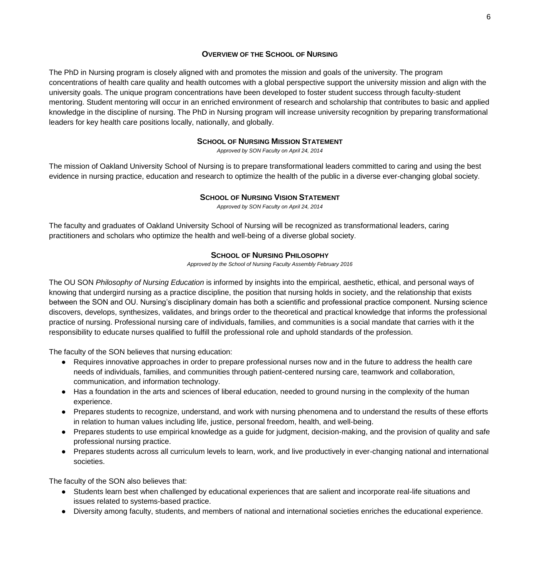#### **OVERVIEW OF THE SCHOOL OF NURSING**

<span id="page-5-0"></span>The PhD in Nursing program is closely aligned with and promotes the mission and goals of the university. The program concentrations of health care quality and health outcomes with a global perspective support the university mission and align with the university goals. The unique program concentrations have been developed to foster student success through faculty-student mentoring. Student mentoring will occur in an enriched environment of research and scholarship that contributes to basic and applied knowledge in the discipline of nursing. The PhD in Nursing program will increase university recognition by preparing transformational leaders for key health care positions locally, nationally, and globally.

#### **SCHOOL OF NURSING MISSION STATEMENT**

*Approved by SON Faculty on April 24, 2014*

<span id="page-5-1"></span>The mission of Oakland University School of Nursing is to prepare transformational leaders committed to caring and using the best evidence in nursing practice, education and research to optimize the health of the public in a diverse ever-changing global society.

#### **SCHOOL OF NURSING VISION STATEMENT**

*Approved by SON Faculty on April 24, 2014*

<span id="page-5-3"></span><span id="page-5-2"></span>The faculty and graduates of Oakland University School of Nursing will be recognized as transformational leaders, caring practitioners and scholars who optimize the health and well-being of a diverse global society.

#### **SCHOOL OF NURSING PHILOSOPHY**

*Approved by the School of Nursing Faculty Assembly February 2016*

The OU SON *Philosophy of Nursing Education* is informed by insights into the empirical, aesthetic, ethical, and personal ways of knowing that undergird nursing as a practice discipline, the position that nursing holds in society, and the relationship that exists between the SON and OU. Nursing's disciplinary domain has both a scientific and professional practice component. Nursing science discovers, develops, synthesizes, validates, and brings order to the theoretical and practical knowledge that informs the professional practice of nursing. Professional nursing care of individuals, families, and communities is a social mandate that carries with it the responsibility to educate nurses qualified to fulfill the professional role and uphold standards of the profession.

The faculty of the SON believes that nursing education:

- Requires innovative approaches in order to prepare professional nurses now and in the future to address the health care needs of individuals, families, and communities through patient-centered nursing care, teamwork and collaboration, communication, and information technology.
- Has a foundation in the arts and sciences of liberal education, needed to ground nursing in the complexity of the human experience.
- Prepares students to recognize, understand, and work with nursing phenomena and to understand the results of these efforts in relation to human values including life, justice, personal freedom, health, and well-being.
- Prepares students to use empirical knowledge as a guide for judgment, decision-making, and the provision of quality and safe professional nursing practice.
- Prepares students across all curriculum levels to learn, work, and live productively in ever-changing national and international societies.

The faculty of the SON also believes that:

- Students learn best when challenged by educational experiences that are salient and incorporate real-life situations and issues related to systems-based practice.
- Diversity among faculty, students, and members of national and international societies enriches the educational experience.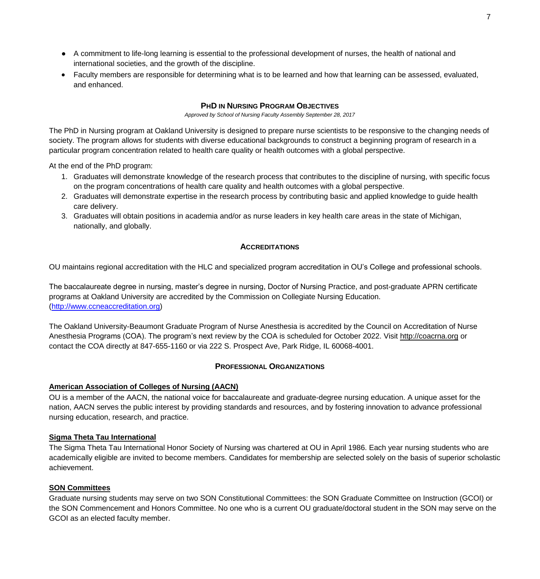- A commitment to life-long learning is essential to the professional development of nurses, the health of national and international societies, and the growth of the discipline.
- Faculty members are responsible for determining what is to be learned and how that learning can be assessed, evaluated, and enhanced.

## **PHD IN NURSING PROGRAM OBJECTIVES**

*Approved by School of Nursing Faculty Assembly September 28, 2017*

<span id="page-6-0"></span>The PhD in Nursing program at Oakland University is designed to prepare nurse scientists to be responsive to the changing needs of society. The program allows for students with diverse educational backgrounds to construct a beginning program of research in a particular program concentration related to health care quality or health outcomes with a global perspective.

At the end of the PhD program:

- 1. Graduates will demonstrate knowledge of the research process that contributes to the discipline of nursing, with specific focus on the program concentrations of health care quality and health outcomes with a global perspective.
- 2. Graduates will demonstrate expertise in the research process by contributing basic and applied knowledge to guide health care delivery.
- 3. Graduates will obtain positions in academia and/or as nurse leaders in key health care areas in the state of Michigan, nationally, and globally.

#### **ACCREDITATIONS**

<span id="page-6-1"></span>OU maintains regional accreditation with the HLC and specialized program accreditation in OU's College and professional schools.

The baccalaureate degree in nursing, master's degree in nursing, Doctor of Nursing Practice, and post-graduate APRN certificate programs at Oakland University are accredited by the Commission on Collegiate Nursing Education. [\(http://www.ccneaccreditation.org\)](http://www.ccneaccreditation.org/)

The Oakland University-Beaumont Graduate Program of Nurse Anesthesia is accredited by the Council on Accreditation of Nurse Anesthesia Programs (COA). The program's next review by the COA is scheduled for October 2022. Visit [http://coacrna.org](http://coacrna.org/) or contact the COA directly at 847-655-1160 or via 222 S. Prospect Ave, Park Ridge, IL 60068-4001.

#### **PROFESSIONAL ORGANIZATIONS**

#### <span id="page-6-2"></span>**American Association of Colleges of Nursing (AACN)**

OU is a member of the AACN, the national voice for baccalaureate and graduate-degree nursing education. A unique asset for the nation, AACN serves the public interest by providing standards and resources, and by fostering innovation to advance professional nursing education, research, and practice.

#### **Sigma Theta Tau International**

The Sigma Theta Tau International Honor Society of Nursing was chartered at OU in April 1986. Each year nursing students who are academically eligible are invited to become members. Candidates for membership are selected solely on the basis of superior scholastic achievement.

#### **SON Committees**

Graduate nursing students may serve on two SON Constitutional Committees: the SON Graduate Committee on Instruction (GCOI) or the SON Commencement and Honors Committee. No one who is a current OU graduate/doctoral student in the SON may serve on the GCOI as an elected faculty member.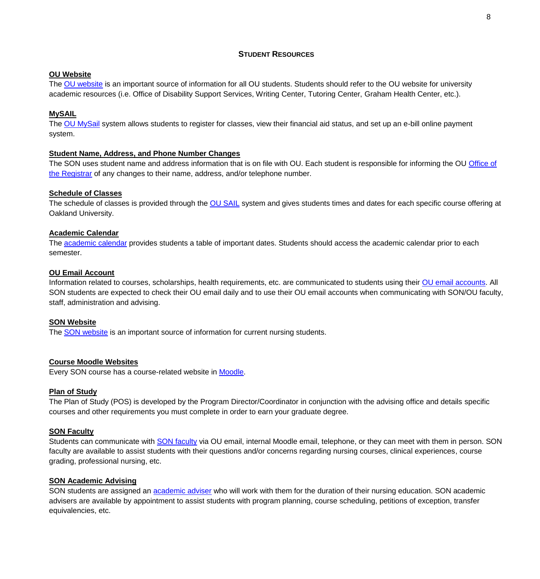## **STUDENT RESOURCES**

#### <span id="page-7-0"></span>**[OU Website](https://wwwp.oakland.edu/)**

The [OU website](https://www.oakland.edu/) is an important source of information for all OU students. Students should refer to the [OU website](https://wwwp.oakland.edu/) for university academic resources (i.e. Office of Disability Support Services, Writing Center, Tutoring Center, Graham Health Center, etc.).

## **[MySAIL](https://sail.oakland.edu/PROD/twbkwbis.P_GenMenu?name=homepage)**

The [OU MySail](https://sail.oakland.edu/PROD/twbkwbis.P_GenMenu?name=homepage) system allows students to register for classes, view their financial aid status, and set up an e-bill online payment system.

#### **[Student Name, Address, and Phone Number Changes](https://oakland.edu/registrar/records/directory-information/)**

The SON uses student name and address information that is on file with OU. Each student is responsible for informing the OU Office of [the Registrar](https://oakland.edu/registrar/) of any changes to their name, address, and/or telephone number.

## **[Schedule of Classes](https://sail.oakland.edu/PROD/bwckschd.p_disp_dyn_sched)**

The schedule of classes is provided through the [OU SAIL](https://sail.oakland.edu/PROD/twbkwbis.P_GenMenu?name=homepage) system and gives students times and dates for each specific course offering at Oakland University.

#### **[Academic Calendar](https://www.oakland.edu/registrar/important-dates/)**

The [academic calendar](https://oakland.edu/registrar/important-dates/) provides students a table of important dates. Students should access the academic calendar prior to each semester.

#### **[OU Email Account](https://oakland.edu/uts/student-services/email/)**

Information related to courses, scholarships, health requirements, etc. are communicated to students using their [OU email](https://oakland.edu/uts/student-services/email/) accounts. All SON students are expected to check their OU email daily and to use their OU email accounts when communicating with SON/OU faculty, staff, administration and advising.

#### **[SON Website](https://wwwp.oakland.edu/nursing/)**

The [SON website](https://oakland.edu/nursing/) is an important source of information for current nursing students.

#### **[Course Moodle Websites](https://moodle.oakland.edu/login/index.php)**

Every SON course has a course-related website in [Moodle.](https://moodle.oakland.edu/login/index.php)

#### **Plan of Study**

The Plan of Study (POS) is developed by the Program Director/Coordinator in conjunction with the advising office and details specific courses and other requirements you must complete in order to earn your graduate degree.

#### **[SON Faculty](https://wwwp.oakland.edu/nursing/directory/)**

Students can communicate with [SON faculty](https://wwwp.oakland.edu/nursing/directory/) via OU email, internal Moodle email, telephone, or they can meet with them in person. SON faculty are available to assist students with their questions and/or concerns regarding nursing courses, clinical experiences, course grading, professional nursing, etc.

#### **[SON Academic Advising](https://wwwp.oakland.edu/nursing/directory/)**

SON students are assigned an [academic adviser](https://wwwp.oakland.edu/nursing/directory/) who will work with them for the duration of their nursing education. SON academic advisers are available by appointment to assist students with program planning, course scheduling, petitions of exception, transfer equivalencies, etc.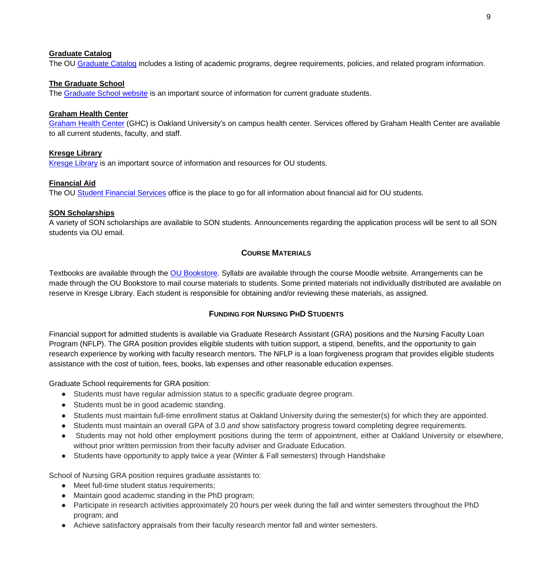#### **[Graduate Catalog](http://catalog.oakland.edu/content.php?catoid=30&navoid=3277)**

The OU [Graduate Catalog](http://catalog.oakland.edu/index.php?catoid=47) includes a listing of academic programs, degree requirements, policies, and related program information.

## **[The Graduate School](http://catalog.oakland.edu/content.php?catoid=30&navoid=3277)**

The [Graduate School website](https://oakland.edu/grad/) is an important source of information for current graduate students.

## **[Graham Health Center](http://catalog.oakland.edu/content.php?catoid=30&navoid=3277)**

[Graham Health Center](https://oakland.edu/ghc/) (GHC) is Oakland University's on campus health center. Services offered by Graham Health Center are available to all current students, faculty, and staff.

## **[Kresge Library](http://catalog.oakland.edu/content.php?catoid=30&navoid=3277)**

[Kresge Library](https://library.oakland.edu/) is an important source of information and resources for OU students.

#### **[Financial Aid](http://catalog.oakland.edu/content.php?catoid=30&navoid=3277)**

The OU [Student Financial Services](https://oakland.edu/financialservices/) office is the place to go for all information about financial aid for OU students.

#### **SON Scholarships**

A variety of SON scholarships are available to SON students. Announcements regarding the application process will be sent to all SON students via OU email.

## **COURSE MATERIALS**

<span id="page-8-0"></span>Textbooks are available through the [OU Bookstore.](https://oakland.bncollege.com/shop/oakland/home) Syllabi are available through the course Moodle website. Arrangements can be made through the OU Bookstore to mail course materials to students. Some printed materials not individually distributed are available on reserve in Kresge Library. Each student is responsible for obtaining and/or reviewing these materials, as assigned.

#### **FUNDING FOR NURSING PHD STUDENTS**

<span id="page-8-1"></span>Financial support for admitted students is available via Graduate Research Assistant (GRA) positions and the Nursing Faculty Loan Program (NFLP). The GRA position provides eligible students with tuition support, a stipend, benefits, and the opportunity to gain research experience by working with faculty research mentors. The NFLP is a loan forgiveness program that provides eligible students assistance with the cost of tuition, fees, books, lab expenses and other reasonable education expenses.

Graduate School requirements for GRA position:

- Students must have regular admission status to a specific graduate degree program.
- Students must be in good academic standing.
- Students must maintain full-time enrollment status at Oakland University during the semester(s) for which they are appointed.
- Students must maintain an overall GPA of 3.0 *and* show satisfactory progress toward completing degree requirements.
- Students may not hold other employment positions during the term of appointment, either at Oakland University or elsewhere, without prior written permission from their faculty adviser and Graduate Education.
- Students have opportunity to apply twice a year (Winter & Fall semesters) through Handshake

School of Nursing GRA position requires graduate assistants to:

- Meet full-time student status requirements;
- Maintain good academic standing in the PhD program;
- Participate in research activities approximately 20 hours per week during the fall and winter semesters throughout the PhD program; and
- Achieve satisfactory appraisals from their faculty research mentor fall and winter semesters.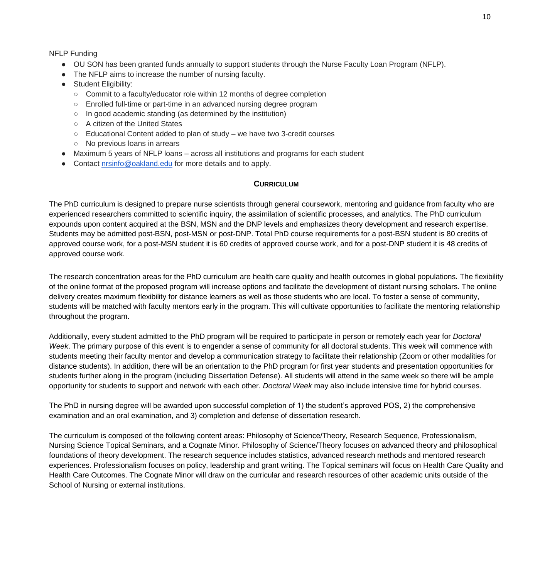## NFLP Funding

- OU SON has been granted funds annually to support students through the Nurse Faculty Loan Program (NFLP).
- The NFLP aims to increase the number of nursing faculty.
- Student Eligibility:
	- Commit to a faculty/educator role within 12 months of degree completion
	- Enrolled full-time or part-time in an advanced nursing degree program
	- In good academic standing (as determined by the institution)
	- A citizen of the United States
	- Educational Content added to plan of study we have two 3-credit courses
	- No previous loans in arrears
- Maximum 5 years of NFLP loans across all institutions and programs for each student
- Contact [nrsinfo@oakland.edu](mailto:tnrsinfo@oakland.edu) for more details and to apply.

## **CURRICULUM**

<span id="page-9-0"></span>The PhD curriculum is designed to prepare nurse scientists through general coursework, mentoring and guidance from faculty who are experienced researchers committed to scientific inquiry, the assimilation of scientific processes, and analytics. The PhD curriculum expounds upon content acquired at the BSN, MSN and the DNP levels and emphasizes theory development and research expertise. Students may be admitted post-BSN, post-MSN or post-DNP. Total PhD course requirements for a post-BSN student is 80 credits of approved course work, for a post-MSN student it is 60 credits of approved course work, and for a post-DNP student it is 48 credits of approved course work.

The research concentration areas for the PhD curriculum are health care quality and health outcomes in global populations. The flexibility of the online format of the proposed program will increase options and facilitate the development of distant nursing scholars. The online delivery creates maximum flexibility for distance learners as well as those students who are local. To foster a sense of community, students will be matched with faculty mentors early in the program. This will cultivate opportunities to facilitate the mentoring relationship throughout the program.

Additionally, every student admitted to the PhD program will be required to participate in person or remotely each year for *Doctoral Week*. The primary purpose of this event is to engender a sense of community for all doctoral students. This week will commence with students meeting their faculty mentor and develop a communication strategy to facilitate their relationship (Zoom or other modalities for distance students). In addition, there will be an orientation to the PhD program for first year students and presentation opportunities for students further along in the program (including Dissertation Defense). All students will attend in the same week so there will be ample opportunity for students to support and network with each other. *Doctoral Week* may also include intensive time for hybrid courses.

The PhD in nursing degree will be awarded upon successful completion of 1) the student's approved POS, 2) the comprehensive examination and an oral examination, and 3) completion and defense of dissertation research.

<span id="page-9-1"></span>The curriculum is composed of the following content areas: Philosophy of Science/Theory, Research Sequence, Professionalism, Nursing Science Topical Seminars, and a Cognate Minor. Philosophy of Science/Theory focuses on advanced theory and philosophical foundations of theory development. The research sequence includes statistics, advanced research methods and mentored research experiences. Professionalism focuses on policy, leadership and grant writing. The Topical seminars will focus on Health Care Quality and Health Care Outcomes. The Cognate Minor will draw on the curricular and research resources of other academic units outside of the School of Nursing or external institutions.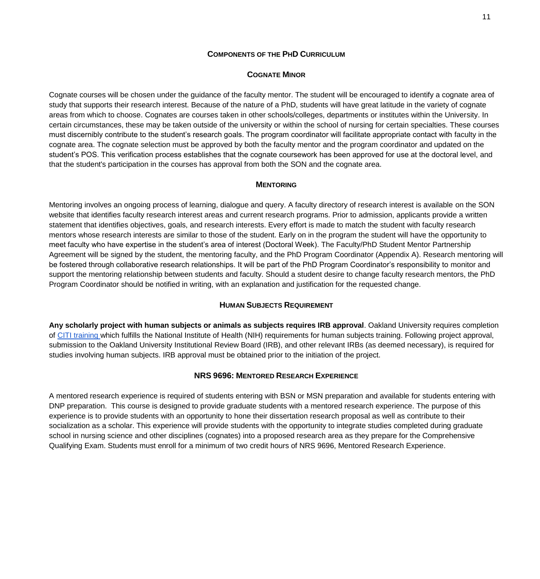#### **COMPONENTS OF THE PHD CURRICULUM**

#### **COGNATE MINOR**

<span id="page-10-0"></span>Cognate courses will be chosen under the guidance of the faculty mentor. The student will be encouraged to identify a cognate area of study that supports their research interest. Because of the nature of a PhD, students will have great latitude in the variety of cognate areas from which to choose. Cognates are courses taken in other schools/colleges, departments or institutes within the University. In certain circumstances, these may be taken outside of the university or within the school of nursing for certain specialties. These courses must discernibly contribute to the student's research goals. The program coordinator will facilitate appropriate contact with faculty in the cognate area. The cognate selection must be approved by both the faculty mentor and the program coordinator and updated on the student's POS. This verification process establishes that the cognate coursework has been approved for use at the doctoral level, and that the student's participation in the courses has approval from both the SON and the cognate area.

#### **MENTORING**

<span id="page-10-1"></span>Mentoring involves an ongoing process of learning, dialogue and query. A faculty directory of research interest is available on the SON website that identifies faculty research interest areas and current research programs. Prior to admission, applicants provide a written statement that identifies objectives, goals, and research interests. Every effort is made to match the student with faculty research mentors whose research interests are similar to those of the student. Early on in the program the student will have the opportunity to meet faculty who have expertise in the student's area of interest (Doctoral Week). The Faculty/PhD Student Mentor Partnership Agreement will be signed by the student, the mentoring faculty, and the PhD Program Coordinator (Appendix A). Research mentoring will be fostered through collaborative research relationships. It will be part of the PhD Program Coordinator's responsibility to monitor and support the mentoring relationship between students and faculty. Should a student desire to change faculty research mentors, the PhD Program Coordinator should be notified in writing, with an explanation and justification for the requested change.

#### **HUMAN SUBJECTS REQUIREMENT**

<span id="page-10-2"></span>**Any scholarly project with human subjects or animals as subjects requires IRB approval**. Oakland University requires completion of [CITI training w](https://www.citiprogram.org/index.cfm?pageID=14)hich fulfills the National Institute of Health (NIH) requirements for human subjects training. Following project approval, submission to the Oakland University Institutional Review Board (IRB), and other relevant IRBs (as deemed necessary), is required for studies involving human subjects. IRB approval must be obtained prior to the initiation of the project.

#### **NRS 9696: MENTORED RESEARCH EXPERIENCE**

<span id="page-10-3"></span>A mentored research experience is required of students entering with BSN or MSN preparation and available for students entering with DNP preparation. This course is designed to provide graduate students with a mentored research experience. The purpose of this experience is to provide students with an opportunity to hone their dissertation research proposal as well as contribute to their socialization as a scholar. This experience will provide students with the opportunity to integrate studies completed during graduate school in nursing science and other disciplines (cognates) into a proposed research area as they prepare for the Comprehensive Qualifying Exam. Students must enroll for a minimum of two credit hours of NRS 9696, Mentored Research Experience.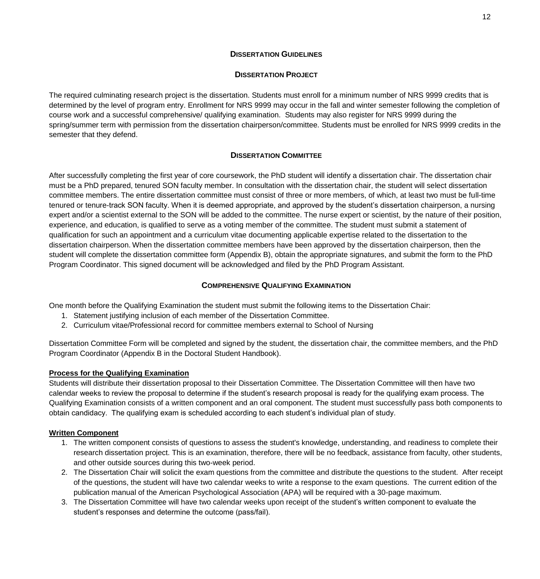### **DISSERTATION GUIDELINES**

## **DISSERTATION PROJECT**

<span id="page-11-1"></span><span id="page-11-0"></span>The required culminating research project is the dissertation. Students must enroll for a minimum number of NRS 9999 credits that is determined by the level of program entry. Enrollment for NRS 9999 may occur in the fall and winter semester following the completion of course work and a successful comprehensive/ qualifying examination. Students may also register for NRS 9999 during the spring/summer term with permission from the dissertation chairperson/committee. Students must be enrolled for NRS 9999 credits in the semester that they defend.

# **DISSERTATION COMMITTEE**

<span id="page-11-2"></span>After successfully completing the first year of core coursework, the PhD student will identify a dissertation chair. The dissertation chair must be a PhD prepared, tenured SON faculty member. In consultation with the dissertation chair, the student will select dissertation committee members. The entire dissertation committee must consist of three or more members, of which, at least two must be full-time tenured or tenure-track SON faculty. When it is deemed appropriate, and approved by the student's dissertation chairperson, a nursing expert and/or a scientist external to the SON will be added to the committee. The nurse expert or scientist, by the nature of their position, experience, and education, is qualified to serve as a voting member of the committee. The student must submit a statement of qualification for such an appointment and a curriculum vitae documenting applicable expertise related to the dissertation to the dissertation chairperson. When the dissertation committee members have been approved by the dissertation chairperson, then the student will complete the dissertation committee form (Appendix B), obtain the appropriate signatures, and submit the form to the PhD Program Coordinator. This signed document will be acknowledged and filed by the PhD Program Assistant.

# **COMPREHENSIVE QUALIFYING EXAMINATION**

<span id="page-11-3"></span>One month before the Qualifying Examination the student must submit the following items to the Dissertation Chair:

- 1. Statement justifying inclusion of each member of the Dissertation Committee.
- 2. Curriculum vitae/Professional record for committee members external to School of Nursing

Dissertation Committee Form will be completed and signed by the student, the dissertation chair, the committee members, and the PhD Program Coordinator (Appendix B in the Doctoral Student Handbook).

## **Process for the Qualifying Examination**

Students will distribute their dissertation proposal to their Dissertation Committee. The Dissertation Committee will then have two calendar weeks to review the proposal to determine if the student's research proposal is ready for the qualifying exam process. The Qualifying Examination consists of a written component and an oral component. The student must successfully pass both components to obtain candidacy. The qualifying exam is scheduled according to each student's individual plan of study.

## **Written Component**

- 1. The written component consists of questions to assess the student's knowledge, understanding, and readiness to complete their research dissertation project. This is an examination, therefore, there will be no feedback, assistance from faculty, other students, and other outside sources during this two-week period.
- 2. The Dissertation Chair will solicit the exam questions from the committee and distribute the questions to the student. After receipt of the questions, the student will have two calendar weeks to write a response to the exam questions. The current edition of the publication manual of the American Psychological Association (APA) will be required with a 30-page maximum.
- 3. The Dissertation Committee will have two calendar weeks upon receipt of the student's written component to evaluate the student's responses and determine the outcome (pass/fail).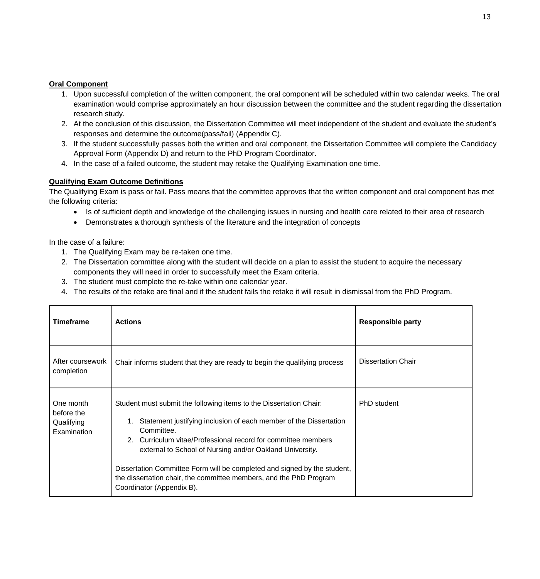## **Oral Component**

- 1. Upon successful completion of the written component, the oral component will be scheduled within two calendar weeks. The oral examination would comprise approximately an hour discussion between the committee and the student regarding the dissertation research study.
- 2. At the conclusion of this discussion, the Dissertation Committee will meet independent of the student and evaluate the student's responses and determine the outcome(pass/fail) (Appendix C).
- 3. If the student successfully passes both the written and oral component, the Dissertation Committee will complete the Candidacy Approval Form (Appendix D) and return to the PhD Program Coordinator.
- 4. In the case of a failed outcome, the student may retake the Qualifying Examination one time.

## **Qualifying Exam Outcome Definitions**

The Qualifying Exam is pass or fail. Pass means that the committee approves that the written component and oral component has met the following criteria:

- Is of sufficient depth and knowledge of the challenging issues in nursing and health care related to their area of research
- Demonstrates a thorough synthesis of the literature and the integration of concepts

In the case of a failure:

- 1. The Qualifying Exam may be re-taken one time.
- 2. The Dissertation committee along with the student will decide on a plan to assist the student to acquire the necessary components they will need in order to successfully meet the Exam criteria.
- 3. The student must complete the re-take within one calendar year.
- 4. The results of the retake are final and if the student fails the retake it will result in dismissal from the PhD Program.

| <b>Timeframe</b>                                     | <b>Actions</b>                                                                                                                                                                                                                                                                                                                                                                                                                                                    | <b>Responsible party</b>  |
|------------------------------------------------------|-------------------------------------------------------------------------------------------------------------------------------------------------------------------------------------------------------------------------------------------------------------------------------------------------------------------------------------------------------------------------------------------------------------------------------------------------------------------|---------------------------|
| After coursework<br>completion                       | Chair informs student that they are ready to begin the qualifying process                                                                                                                                                                                                                                                                                                                                                                                         | <b>Dissertation Chair</b> |
| One month<br>before the<br>Qualifying<br>Examination | Student must submit the following items to the Dissertation Chair:<br>Statement justifying inclusion of each member of the Dissertation<br>Committee.<br>2. Curriculum vitae/Professional record for committee members<br>external to School of Nursing and/or Oakland University.<br>Dissertation Committee Form will be completed and signed by the student,<br>the dissertation chair, the committee members, and the PhD Program<br>Coordinator (Appendix B). | PhD student               |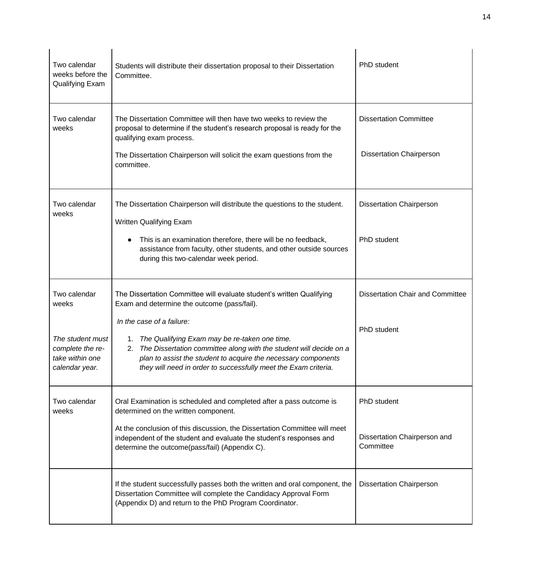| Two calendar<br>weeks before the<br>Qualifying Exam                       | Students will distribute their dissertation proposal to their Dissertation<br>Committee.                                                                                                                                                                                                    | PhD student                               |
|---------------------------------------------------------------------------|---------------------------------------------------------------------------------------------------------------------------------------------------------------------------------------------------------------------------------------------------------------------------------------------|-------------------------------------------|
| Two calendar<br>weeks                                                     | The Dissertation Committee will then have two weeks to review the<br>proposal to determine if the student's research proposal is ready for the<br>qualifying exam process.                                                                                                                  | <b>Dissertation Committee</b>             |
|                                                                           | The Dissertation Chairperson will solicit the exam questions from the<br>committee.                                                                                                                                                                                                         | <b>Dissertation Chairperson</b>           |
| Two calendar<br>weeks                                                     | The Dissertation Chairperson will distribute the questions to the student.<br><b>Written Qualifying Exam</b>                                                                                                                                                                                | <b>Dissertation Chairperson</b>           |
|                                                                           | This is an examination therefore, there will be no feedback,<br>$\bullet$<br>assistance from faculty, other students, and other outside sources<br>during this two-calendar week period.                                                                                                    | PhD student                               |
| Two calendar<br>weeks                                                     | The Dissertation Committee will evaluate student's written Qualifying<br>Exam and determine the outcome (pass/fail).                                                                                                                                                                        | <b>Dissertation Chair and Committee</b>   |
| The student must<br>complete the re-<br>take within one<br>calendar year. | In the case of a failure:<br>1. The Qualifying Exam may be re-taken one time.<br>2. The Dissertation committee along with the student will decide on a<br>plan to assist the student to acquire the necessary components<br>they will need in order to successfully meet the Exam criteria. | PhD student                               |
| Two calendar<br>weeks                                                     | Oral Examination is scheduled and completed after a pass outcome is<br>determined on the written component.                                                                                                                                                                                 | PhD student                               |
|                                                                           | At the conclusion of this discussion, the Dissertation Committee will meet<br>independent of the student and evaluate the student's responses and<br>determine the outcome(pass/fail) (Appendix C).                                                                                         | Dissertation Chairperson and<br>Committee |
|                                                                           | If the student successfully passes both the written and oral component, the<br>Dissertation Committee will complete the Candidacy Approval Form<br>(Appendix D) and return to the PhD Program Coordinator.                                                                                  | <b>Dissertation Chairperson</b>           |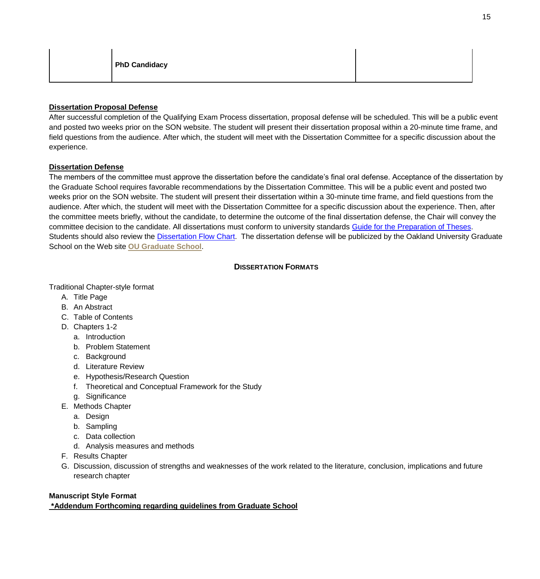| <b>PhD Candidacy</b> |
|----------------------|
|----------------------|

# **Dissertation Proposal Defense**

After successful completion of the Qualifying Exam Process dissertation, proposal defense will be scheduled. This will be a public event and posted two weeks prior on the SON website. The student will present their dissertation proposal within a 20-minute time frame, and field questions from the audience. After which, the student will meet with the Dissertation Committee for a specific discussion about the experience.

## **Dissertation Defense**

The members of the committee must approve the dissertation before the candidate's final oral defense. Acceptance of the dissertation by the Graduate School requires favorable recommendations by the Dissertation Committee. This will be a public event and posted two weeks prior on the SON website. The student will present their dissertation within a 30-minute time frame, and field questions from the audience. After which, the student will meet with the Dissertation Committee for a specific discussion about the experience. Then, after the committee meets briefly, without the candidate, to determine the outcome of the final dissertation defense, the Chair will convey the committee decision to the candidate. All dissertations must conform to university standards [Guide for the Preparation of Theses.](https://www.oakland.edu/Assets/Oakland/grad/files-and-documents/Thesis-Dissertations/Manual%20Updated%20April%202019.pdf) Students should also review the [Dissertation](https://www.oakland.edu/Assets/Oakland/grad/files-and-documents/Thesis-Dissertations/Dissertation%20Flow%20Chart%20Updated.pdf) [Flow Chart.](https://www.oakland.edu/Assets/Oakland/grad/files-and-documents/Thesis-Dissertations/Dissertation%20Flow%20Chart%20Updated.pdf) The dissertation defense will be publicized by the Oakland University Graduate School on the Web site **[OU Graduate School](https://www.oakland.edu/grad/)**.

## <span id="page-14-0"></span>**D[ISSERTATION](#page-14-0) FORMATS**

## Traditional Chapter-style format

- A. Title Page
- B. An Abstract
- C. Table of Contents
- D. Chapters 1-2
	- a. Introduction
	- b. Problem Statement
	- c. Background
	- d. Literature Review
	- e. Hypothesis/Research Question
	- f. Theoretical and Conceptual Framework for the Study
	- g. Significance
- E. Methods Chapter
	- a. Design
	- b. Sampling
	- c. Data collection
	- d. Analysis measures and methods
- F. Results Chapter
- G. Discussion, discussion of strengths and weaknesses of the work related to the literature, conclusion, implications and future research chapter

## **Manuscript Style Format**

**\*Addendum Forthcoming regarding guidelines from Graduate School**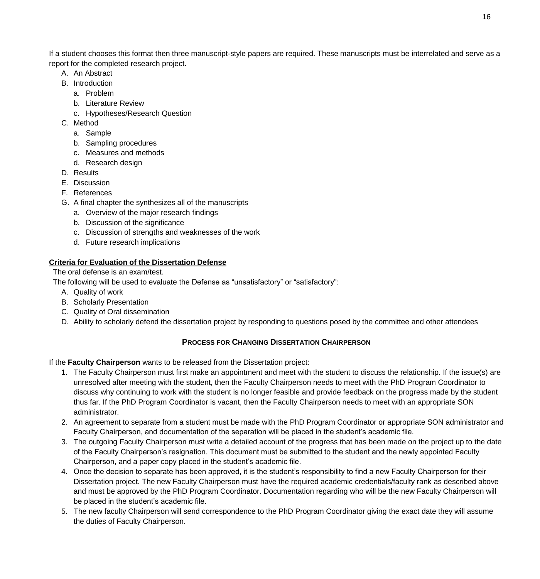If a student chooses this format then three manuscript-style papers are required. These manuscripts must be interrelated and serve as a report for the completed research project.

- A. An Abstract
- B. Introduction
	- a. Problem
	- b. Literature Review
	- c. Hypotheses/Research Question
- C. Method
	- a. Sample
	- b. Sampling procedures
	- c. Measures and methods
	- d. Research design
- D. Results
- E. Discussion
- F. References
- G. A final chapter the synthesizes all of the manuscripts
	- a. Overview of the major research findings
	- b. Discussion of the significance
	- c. Discussion of strengths and weaknesses of the work
	- d. Future research implications

## **Criteria for Evaluation of the Dissertation Defense**

The oral defense is an exam/test.

The following will be used to evaluate the Defense as "unsatisfactory" or "satisfactory":

- A. Quality of work
- B. Scholarly Presentation
- C. Quality of Oral dissemination
- <span id="page-15-1"></span>D. Ability to scholarly defend the dissertation project by responding to questions posed by the committee and other attendees

# <span id="page-15-0"></span>**PROCESS FOR CHANGING D[ISSERTATION](#page-15-1) CHAIRPERSON**

If the **Faculty Chairperson** wants to be released from the Dissertation project:

- 1. The Faculty Chairperson must first make an appointment and meet with the student to discuss the relationship. If the issue(s) are unresolved after meeting with the student, then the Faculty Chairperson needs to meet with the PhD Program Coordinator to discuss why continuing to work with the student is no longer feasible and provide feedback on the progress made by the student thus far. If the PhD Program Coordinator is vacant, then the Faculty Chairperson needs to meet with an appropriate SON administrator.
- 2. An agreement to separate from a student must be made with the PhD Program Coordinator or appropriate SON administrator and Faculty Chairperson, and documentation of the separation will be placed in the student's academic file.
- 3. The outgoing Faculty Chairperson must write a detailed account of the progress that has been made on the project up to the date of the Faculty Chairperson's resignation. This document must be submitted to the student and the newly appointed Faculty Chairperson, and a paper copy placed in the student's academic file.
- 4. Once the decision to separate has been approved, it is the student's responsibility to find a new Faculty Chairperson for their Dissertation project. The new Faculty Chairperson must have the required academic credentials/faculty rank as described above and must be approved by the PhD Program Coordinator. Documentation regarding who will be the new Faculty Chairperson will be placed in the student's academic file.
- 5. The new faculty Chairperson will send correspondence to the PhD Program Coordinator giving the exact date they will assume the duties of Faculty Chairperson.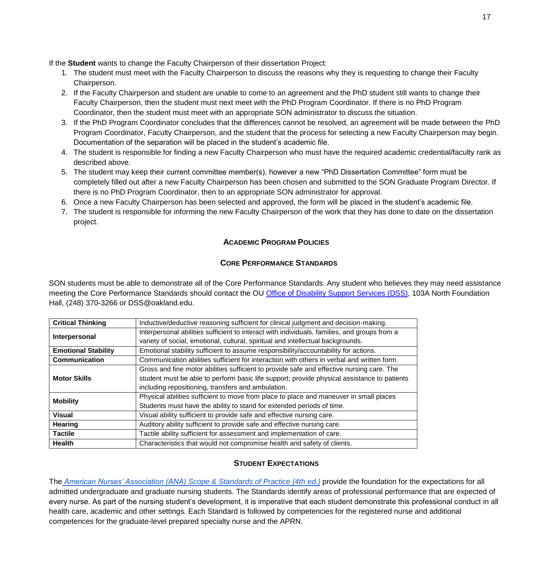If the **Student** wants to change the Faculty Chairperson of their dissertation Project:

- 1. The student must meet with the Faculty Chairperson to discuss the reasons why they is requesting to change their Faculty Chairperson.
- 2. If the Faculty Chairperson and student are unable to come to an agreement and the PhD student still wants to change their Faculty Chairperson, then the student must next meet with the PhD Program Coordinator. If there is no PhD Program Coordinator, then the student must meet with an appropriate SON administrator to discuss the situation.
- 3. If the PhD Program Coordinator concludes that the differences cannot be resolved, an agreement will be made between the PhD Program Coordinator, Faculty Chairperson, and the student that the process for selecting a new Faculty Chairperson may begin. Documentation of the separation will be placed in the student's academic file.
- 4. The student is responsible for finding a new Faculty Chairperson who must have the required academic credential/faculty rank as described above.
- 5. The student may keep their current committee member(s), however a new "PhD Dissertation Committee" form must be completely filled out after a new Faculty Chairperson has been chosen and submitted to the SON Graduate Program Director. If there is no PhD Program Coordinator, then to an appropriate SON administrator for approval.
- 6. Once a new Faculty Chairperson has been selected and approved, the form will be placed in the student's academic file.
- <span id="page-16-0"></span>7. The student is responsible for informing the new Faculty Chairperson of the work that they has done to date on the dissertation project.

# **ACADEMIC PROGRAM POLICIES**

## **CORE PERFORMANCE STANDARDS**

<span id="page-16-1"></span>SON students must be able to demonstrate all of the Core Performance Standards. Any student who believes they may need assistance meeting the Core Performance Standards should contact the OU [Office of Disability Support Services \(DSS\),](https://oakland.edu/dss/) 103A North Foundation Hall, (248) 370-3266 or [DSS@oakland.edu.](mailto:DSS@oakland.edu)

| <b>Critical Thinking</b>                                                                                          | Inductive/deductive reasoning sufficient for clinical judgment and decision-making.          |
|-------------------------------------------------------------------------------------------------------------------|----------------------------------------------------------------------------------------------|
| Interpersonal                                                                                                     | Interpersonal abilities sufficient to interact with individuals, families, and groups from a |
|                                                                                                                   | variety of social, emotional, cultural, spiritual and intellectual backgrounds.              |
| Emotional stability sufficient to assume responsibility/accountability for actions.<br><b>Emotional Stability</b> |                                                                                              |
| Communication                                                                                                     | Communication abilities sufficient for interaction with others in verbal and written form.   |
|                                                                                                                   | Gross and fine motor abilities sufficient to provide safe and effective nursing care. The    |
| <b>Motor Skills</b>                                                                                               | student must be able to perform basic life support; provide physical assistance to patients  |
|                                                                                                                   | including repositioning, transfers and ambulation.                                           |
| <b>Mobility</b>                                                                                                   | Physical abilities sufficient to move from place to place and maneuver in small places       |
|                                                                                                                   | Students must have the ability to stand for extended periods of time.                        |
| <b>Visual</b>                                                                                                     | Visual ability sufficient to provide safe and effective nursing care.                        |
| <b>Hearing</b>                                                                                                    | Auditory ability sufficient to provide safe and effective nursing care.                      |
| <b>Tactile</b>                                                                                                    | Tactile ability sufficient for assessment and implementation of care.                        |
| <b>Health</b>                                                                                                     | Characteristics that would not compromise health and safety of clients.                      |
|                                                                                                                   |                                                                                              |

## **STUDENT EXPECTATIONS**

<span id="page-16-2"></span>Th[e](https://www.nursingworld.org/nurses-books/nursing-scope-and-standards-of-practice-4th-edit/) *[American Nurses' Association \(ANA\) Scope & Standards of Practice \(4th](https://www.nursingworld.org/nurses-books/nursing-scope-and-standards-of-practice-4th-edit/) [ed.\)](https://www.nursingworld.org/nurses-books/nursing-scope-and-standards-of-practice-4th-edit/)* provide the foundation for the expectations for all admitted undergraduate and graduate nursing students. The Standards identify areas of professional performance that are expected of every nurse. As part of the nursing student's development, it is imperative that each student demonstrate this professional conduct in all health care, academic and other settings. Each Standard is followed by competencies for the registered nurse and additional competences for the graduate-level prepared specialty nurse and the APRN.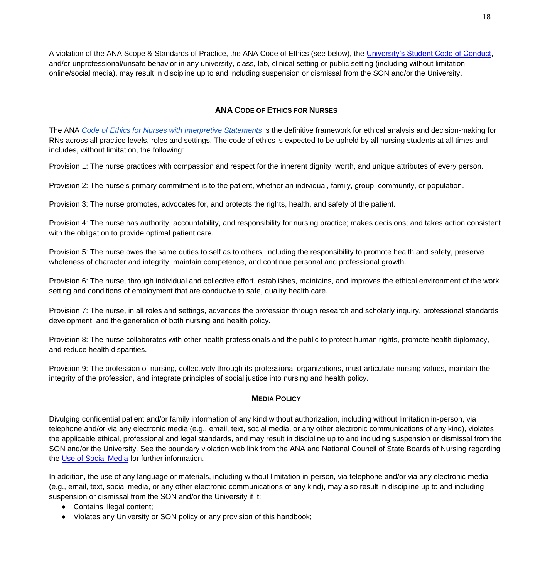A violation of the ANA Scope & Standards of Practice, the ANA Code of Ethics (see below), the [University's Student Code of Conduct,](https://oakland.edu/deanofstudents/student-code-of-conduct/core-standards-and-behavioral-expectations/) and/or unprofessional/unsafe behavior in any university, class, lab, clinical setting or public setting (including without limitation online/social media), may result in discipline up to and including suspension or dismissal from the SON and/or the University.

# **ANA CODE OF ETHICS FOR NURSES**

<span id="page-17-0"></span>The AN[A](https://www.nursingworld.org/nurses-books/code-of-ethics-for-nurses/) *[Code of Ethics for Nurses with Interpretive Statements](https://www.nursingworld.org/nurses-books/code-of-ethics-for-nurses/)* is the definitive framework for ethical analysis and decision-making for RNs across all practice levels, roles and settings. The code of ethics is expected to be upheld by all nursing students at all times and includes, without limitation, the following:

Provision 1: The nurse practices with compassion and respect for the inherent dignity, worth, and unique attributes of every person.

Provision 2: The nurse's primary commitment is to the patient, whether an individual, family, group, community, or population.

Provision 3: The nurse promotes, advocates for, and protects the rights, health, and safety of the patient.

Provision 4: The nurse has authority, accountability, and responsibility for nursing practice; makes decisions; and takes action consistent with the obligation to provide optimal patient care.

Provision 5: The nurse owes the same duties to self as to others, including the responsibility to promote health and safety, preserve wholeness of character and integrity, maintain competence, and continue personal and professional growth.

Provision 6: The nurse, through individual and collective effort, establishes, maintains, and improves the ethical environment of the work setting and conditions of employment that are conducive to safe, quality health care.

Provision 7: The nurse, in all roles and settings, advances the profession through research and scholarly inquiry, professional standards development, and the generation of both nursing and health policy.

Provision 8: The nurse collaborates with other health professionals and the public to protect human rights, promote health diplomacy, and reduce health disparities.

Provision 9: The profession of nursing, collectively through its professional organizations, must articulate nursing values, maintain the integrity of the profession, and integrate principles of social justice into nursing and health policy.

#### **MEDIA POLICY**

<span id="page-17-1"></span>Divulging confidential patient and/or family information of any kind without authorization, including without limitation in-person, via telephone and/or via any electronic media (e.g., email, text, social media, or any other electronic communications of any kind), violates the applicable ethical, professional and legal standards, and may result in discipline up to and including suspension or dismissal from the SON and/or the University. See the boundary violation web link from the ANA and National Council of State Boards of Nursing regarding the [Use of Social Media](https://www.ncsbn.org/Social_Media.pdf) for further information.

In addition, the use of any language or materials, including without limitation in-person, via telephone and/or via any electronic media (e.g., email, text, social media, or any other electronic communications of any kind), may also result in discipline up to and including suspension or dismissal from the SON and/or the University if it:

- Contains illegal content;
- Violates any University or SON policy or any provision of this handbook;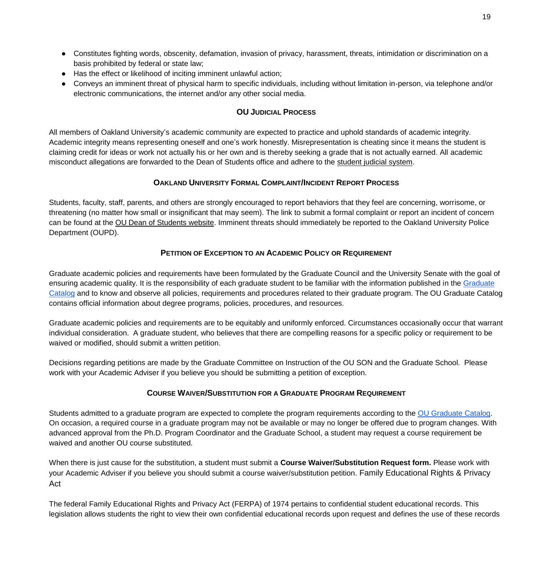- Constitutes fighting words, obscenity, defamation, invasion of privacy, harassment, threats, intimidation or discrimination on a basis prohibited by federal or state law;
- Has the effect or likelihood of inciting imminent unlawful action;
- Conveys an imminent threat of physical harm to specific individuals, including without limitation in-person, via telephone and/or electronic communications, the internet and/or any other social media.

# <span id="page-18-0"></span>**OU J[UDICIAL](#page-23-0) PROCESS**

All members of Oakland University's academic community are expected to practice and uphold standards of academic integrity. Academic integrity means representing oneself and one's work honestly. Misrepresentation is cheating since it means the student is claiming credit for ideas or work not actually his or her own and is thereby seeking a grade that is not actually earned. All academic misconduct allegations are forwarded to the Dean of Students office and adhere to the [student judicial system.](https://oakland.edu/deanofstudents/student-code-of-conduct/scc-hearing-process/index)

# <span id="page-18-1"></span>**OAKLAND U[NIVERSITY](#page-18-1) FORMAL COMPLAINT/INCIDENT REPORT PROCESS**

Students, faculty, staff, parents, and others are strongly encouraged to report behaviors that they feel are concerning, worrisome, or threatening (no matter how small or insignificant that may seem). The link to submit a formal complaint or report an incident of concern can be found at the [OU Dean of Students website.](https://www.oakland.edu/deanofstudents/faculty-staff-resources/report-an-incident/) Imminent threats should immediately be reported to the Oakland University Police Department (OUPD).

# **PETITION OF EXCEPTION TO AN ACADEMIC POLICY OR REQUIREMENT**

<span id="page-18-2"></span>Graduate academic policies and requirements have been formulated by the Graduate Council and the University Senate with the goal of ensuring academic quality. It is the responsibility of each graduate student to be familiar with the information published in the Graduate [Catalog](http://catalog.oakland.edu/index.php) and to know and observe all policies, requirements and procedures related to their graduate program. The OU Graduate Catalog contains official information about degree programs, policies, procedures, and resources.

Graduate academic policies and requirements are to be equitably and uniformly enforced. Circumstances occasionally occur that warrant individual consideration. A graduate student, who believes that there are compelling reasons for a specific policy or requirement to be waived or modified, should submit a written petition.

Decisions regarding petitions are made by the Graduate Committee on Instruction of the OU SON and the Graduate School. Please work with your Academic Adviser if you believe you should be submitting a petition of exception.

# **COURSE WAIVER/SUBSTITUTION FOR A GRADUATE PROGRAM REQUIREMENT**

<span id="page-18-3"></span>Students admitted to a graduate program are expected to complete the program requirements according to the [OU Graduate Catalog.](http://catalog.oakland.edu/index.php) On occasion, a required course in a graduate program may not be available or may no longer be offered due to program changes. With advanced approval from the Ph.D. Program Coordinator and the Graduate School, a student may request a course requirement be waived and another OU course substituted.

When there is just cause for the substitution, a student must submit a **Course Waiver/Substitution Request form.** Please work with your Academic Adviser if you believe you should submit a course waiver/substitution petition. Family Educational Rights & Privacy Act

The federal Family Educational Rights and Privacy Act (FERPA) of 1974 pertains to confidential student educational records. This legislation allows students the right to view their own confidential educational records upon request and defines the use of these records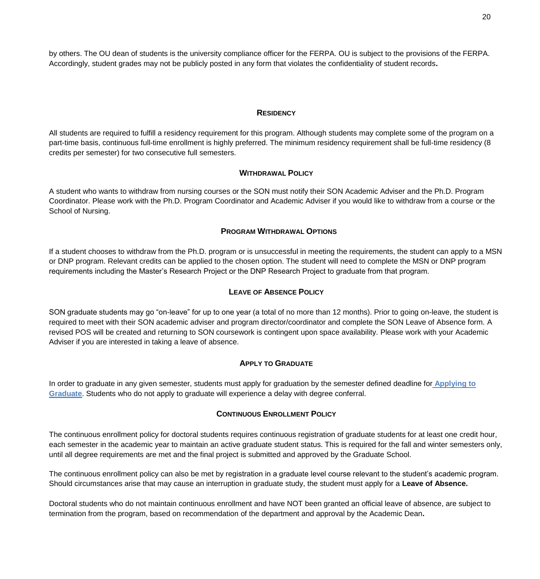by others. The OU dean of students is the university compliance officer for the FERPA. OU is subject to the provisions of the FERPA. Accordingly, student grades may not be publicly posted in any form that violates the confidentiality of student records**.**

#### **RESIDENCY**

<span id="page-19-0"></span>All students are required to fulfill a residency requirement for this program. Although students may complete some of the program on a part-time basis, continuous full-time enrollment is highly preferred. The minimum residency requirement shall be full-time residency (8 credits per semester) for two consecutive full semesters.

#### **WITHDRAWAL POLICY**

<span id="page-19-1"></span>A student who wants to withdraw from nursing courses or the SON must notify their SON Academic Adviser and the Ph.D. Program Coordinator. Please work with the Ph.D. Program Coordinator and Academic Adviser if you would like to withdraw from a course or the School of Nursing.

#### **PROGRAM WITHDRAWAL OPTIONS**

<span id="page-19-2"></span>If a student chooses to withdraw from the Ph.D. program or is unsuccessful in meeting the requirements, the student can apply to a MSN or DNP program. Relevant credits can be applied to the chosen option. The student will need to complete the MSN or DNP program requirements including the Master's Research Project or the DNP Research Project to graduate from that program.

#### **LEAVE OF ABSENCE POLICY**

<span id="page-19-3"></span>SON graduate students may go "on-leave" for up to one year (a total of no more than 12 months). Prior to going on-leave, the student is required to meet with their SON academic adviser and program director/coordinator and complete the SON Leave of Absence form. A revised POS will be created and returning to SON coursework is contingent upon space availability. Please work with your Academic Adviser if you are interested in taking a leave of absence.

#### **APPLY TO GRADUATE**

<span id="page-19-4"></span>In order to graduate in any given semester, students must apply for graduation by the semester defined deadline for **[Applying to](https://www.oakland.edu/grad/current-graduate-students/graduation/)  [Graduate](https://www.oakland.edu/grad/current-graduate-students/graduation/)**[.](https://www.oakland.edu/grad/current-graduate-students/graduation/) Students who do not apply to graduate will experience a delay with degree conferral.

#### **CONTINUOUS ENROLLMENT POLICY**

<span id="page-19-5"></span>The continuous enrollment policy for doctoral students requires continuous registration of graduate students for at least one credit hour, each semester in the academic year to maintain an active graduate student status. This is required for the fall and winter semesters only, until all degree requirements are met and the final project is submitted and approved by the Graduate School.

The continuous enrollment policy can also be met by registration in a graduate level course relevant to the student's academic program. Should circumstances arise that may cause an interruption in graduate study, the student must apply for a **Leave of Absence.**

<span id="page-19-6"></span>Doctoral students who do not maintain continuous enrollment and have NOT been granted an official leave of absence, are subject to termination from the program, based on recommendation of the department and approval by the Academic Dean**.**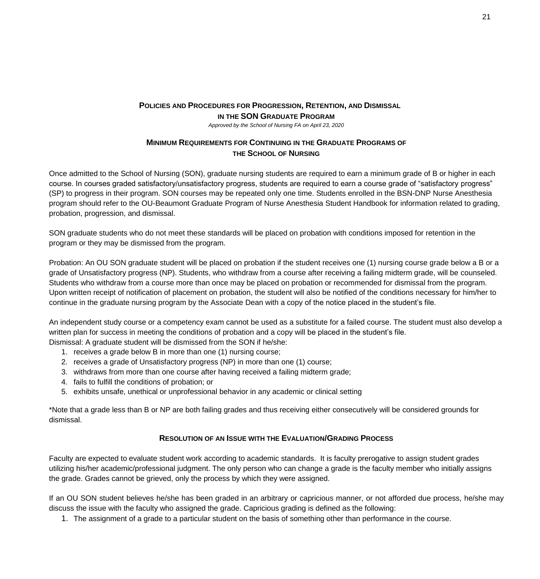### **POLICIES AND PROCEDURES FOR PROGRESSION, RETENTION, AND DISMISSAL IN THE SON GRADUATE PROGRAM** *Approved by the School of Nursing FA on April 23, 2020*

# **MINIMUM REQUIREMENTS FOR CONTINUING IN THE GRADUATE PROGRAMS OF THE SCHOOL OF NURSING**

<span id="page-20-2"></span><span id="page-20-1"></span><span id="page-20-0"></span>Once admitted to the School of Nursing (SON), graduate nursing students are required to earn a minimum grade of B or higher in each course. In courses graded satisfactory/unsatisfactory progress, students are required to earn a course grade of "satisfactory progress" (SP) to progress in their program. SON courses may be repeated only one time. Students enrolled in the BSN-DNP Nurse Anesthesia program should refer to the OU-Beaumont Graduate Program of Nurse Anesthesia Student Handbook for information related to grading, probation, progression, and dismissal.

SON graduate students who do not meet these standards will be placed on probation with conditions imposed for retention in the program or they may be dismissed from the program.

Probation: An OU SON graduate student will be placed on probation if the student receives one (1) nursing course grade below a B or a grade of Unsatisfactory progress (NP). Students, who withdraw from a course after receiving a failing midterm grade, will be counseled. Students who withdraw from a course more than once may be placed on probation or recommended for dismissal from the program. Upon written receipt of notification of placement on probation, the student will also be notified of the conditions necessary for him/her to continue in the graduate nursing program by the Associate Dean with a copy of the notice placed in the student's file.

An independent study course or a competency exam cannot be used as a substitute for a failed course. The student must also develop a written plan for success in meeting the conditions of probation and a copy will be placed in the student's file.

Dismissal: A graduate student will be dismissed from the SON if he/she:

- 1. receives a grade below B in more than one (1) nursing course;
- 2. receives a grade of Unsatisfactory progress (NP) in more than one (1) course;
- 3. withdraws from more than one course after having received a failing midterm grade;
- 4. fails to fulfill the conditions of probation; or
- 5. exhibits unsafe, unethical or unprofessional behavior in any academic or clinical setting

\*Note that a grade less than B or NP are both failing grades and thus receiving either consecutively will be considered grounds for dismissal.

## **RESOLUTION OF AN ISSUE WITH THE EVALUATION/GRADING PROCESS**

<span id="page-20-3"></span>Faculty are expected to evaluate student work according to academic standards. It is faculty prerogative to assign student grades utilizing his/her academic/professional judgment. The only person who can change a grade is the faculty member who initially assigns the grade. Grades cannot be grieved, only the process by which they were assigned.

If an OU SON student believes he/she has been graded in an arbitrary or capricious manner, or not afforded due process, he/she may discuss the issue with the faculty who assigned the grade. Capricious grading is defined as the following:

1. The assignment of a grade to a particular student on the basis of something other than performance in the course.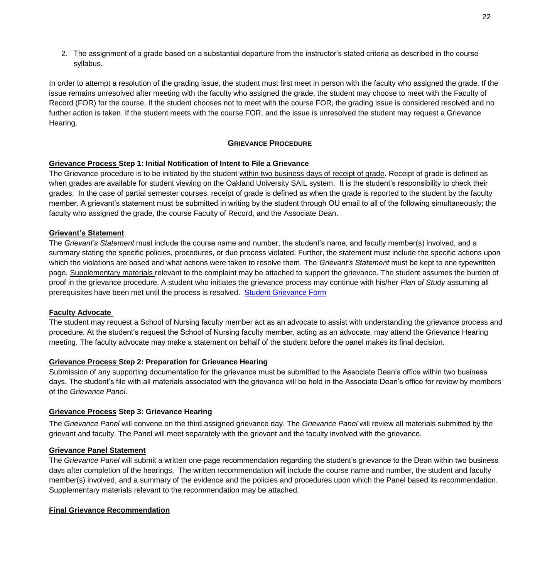2. The assignment of a grade based on a substantial departure from the instructor's stated criteria as described in the course syllabus.

In order to attempt a resolution of the grading issue, the student must first meet in person with the faculty who assigned the grade. If the issue remains unresolved after meeting with the faculty who assigned the grade, the student may choose to meet with the Faculty of Record (FOR) for the course. If the student chooses not to meet with the course FOR, the grading issue is considered resolved and no further action is taken. If the student meets with the course FOR, and the issue is unresolved the student may request a Grievance Hearing.

## **GRIEVANCE PROCEDURE**

#### <span id="page-21-0"></span>**Grievance Process Step 1: Initial Notification of Intent to File a Grievance**

The Grievance procedure is to be initiated by the student within two business days of receipt of grade. Receipt of grade is defined as when grades are available for student viewing on the Oakland University SAIL system. It is the student's responsibility to check their grades. In the case of partial semester courses, receipt of grade is defined as when the grade is reported to the student by the faculty member. A grievant's statement must be submitted in writing by the student through OU email to all of the following simultaneously; the faculty who assigned the grade, the course Faculty of Record, and the Associate Dean.

#### **Grievant's Statement**

The *Grievant's Statement* must include the course name and number, the student's name, and faculty member(s) involved, and a summary stating the specific policies, procedures, or due process violated. Further, the statement must include the specific actions upon which the violations are based and what actions were taken to resolve them. The *Grievant's Statement* must be kept to one typewritten page. Supplementary materials relevant to the complaint may be attached to support the grievance. The student assumes the burden of proof in the grievance procedure. A student who initiates the grievance process may continue with his/her *Plan of Study* assuming all prerequisites have been met until the process is resolved. [Student Grievance Form](https://www.oakland.edu/nursing/student-resources/forms/)

#### **Faculty Advocate**

The student may request a School of Nursing faculty member act as an advocate to assist with understanding the grievance process and procedure. At the student's request the School of Nursing faculty member, acting as an advocate, may attend the Grievance Hearing meeting. The faculty advocate may make a statement on behalf of the student before the panel makes its final decision.

#### **Grievance Process Step 2: Preparation for Grievance Hearing**

Submission of any supporting documentation for the grievance must be submitted to the Associate Dean's office within two business days. The student's file with all materials associated with the grievance will be held in the Associate Dean's office for review by members of the *Grievance Panel*.

#### **Grievance Process Step 3: Grievance Hearing**

The *Grievance Panel* will convene on the third assigned grievance day. The *Grievance Panel* will review all materials submitted by the grievant and faculty. The Panel will meet separately with the grievant and the faculty involved with the grievance.

#### **Grievance Panel Statement**

The *Grievance Panel* will submit a written one-page recommendation regarding the student's grievance to the Dean within two business days after completion of the hearings. The written recommendation will include the course name and number, the student and faculty member(s) involved, and a summary of the evidence and the policies and procedures upon which the Panel based its recommendation. Supplementary materials relevant to the recommendation may be attached.

#### **Final Grievance Recommendation**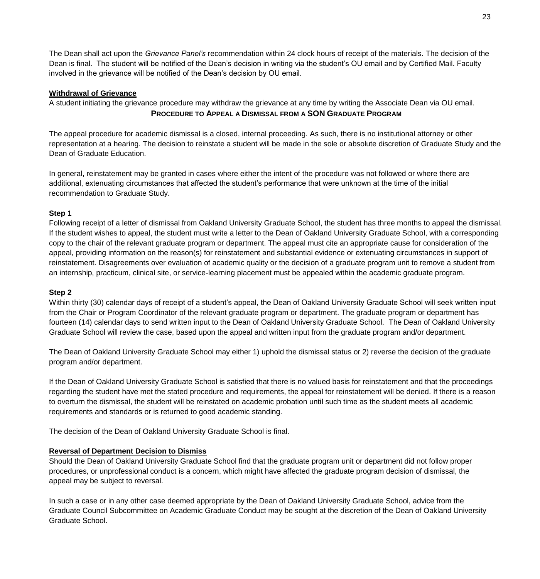The Dean shall act upon the *Grievance Panel's* recommendation within 24 clock hours of receipt of the materials. The decision of the Dean is final. The student will be notified of the Dean's decision in writing via the student's OU email and by Certified Mail. Faculty involved in the grievance will be notified of the Dean's decision by OU email.

## **Withdrawal of Grievance**

<span id="page-22-0"></span>A student initiating the grievance procedure may withdraw the grievance at any time by writing the Associate Dean via OU email. **PROCEDURE TO APPEAL A DISMISSAL FROM A SON GRADUATE PROGRAM**

The appeal procedure for academic dismissal is a closed, internal proceeding. As such, there is no institutional attorney or other representation at a hearing. The decision to reinstate a student will be made in the sole or absolute discretion of Graduate Study and the Dean of Graduate Education.

In general, reinstatement may be granted in cases where either the intent of the procedure was not followed or where there are additional, extenuating circumstances that affected the student's performance that were unknown at the time of the initial recommendation to Graduate Study.

## **Step 1**

Following receipt of a letter of dismissal from Oakland University Graduate School, the student has three months to appeal the dismissal. If the student wishes to appeal, the student must write a letter to the Dean of Oakland University Graduate School, with a corresponding copy to the chair of the relevant graduate program or department. The appeal must cite an appropriate cause for consideration of the appeal, providing information on the reason(s) for reinstatement and substantial evidence or extenuating circumstances in support of reinstatement. Disagreements over evaluation of academic quality or the decision of a graduate program unit to remove a student from an internship, practicum, clinical site, or service-learning placement must be appealed within the academic graduate program.

#### **Step 2**

Within thirty (30) calendar days of receipt of a student's appeal, the Dean of Oakland University Graduate School will seek written input from the Chair or Program Coordinator of the relevant graduate program or department. The graduate program or department has fourteen (14) calendar days to send written input to the Dean of Oakland University Graduate School. The Dean of Oakland University Graduate School will review the case, based upon the appeal and written input from the graduate program and/or department.

The Dean of Oakland University Graduate School may either 1) uphold the dismissal status or 2) reverse the decision of the graduate program and/or department.

If the Dean of Oakland University Graduate School is satisfied that there is no valued basis for reinstatement and that the proceedings regarding the student have met the stated procedure and requirements, the appeal for reinstatement will be denied. If there is a reason to overturn the dismissal, the student will be reinstated on academic probation until such time as the student meets all academic requirements and standards or is returned to good academic standing.

The decision of the Dean of Oakland University Graduate School is final.

#### **Reversal of Department Decision to Dismiss**

Should the Dean of Oakland University Graduate School find that the graduate program unit or department did not follow proper procedures, or unprofessional conduct is a concern, which might have affected the graduate program decision of dismissal, the appeal may be subject to reversal.

In such a case or in any other case deemed appropriate by the Dean of Oakland University Graduate School, advice from the Graduate Council Subcommittee on Academic Graduate Conduct may be sought at the discretion of the Dean of Oakland University Graduate School.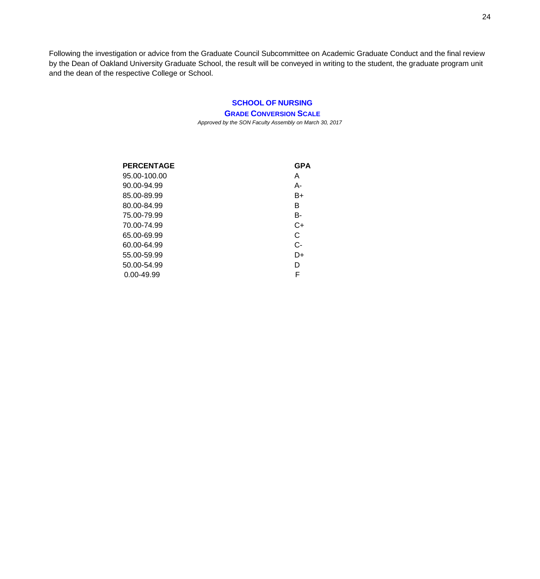Following the investigation or advice from the Graduate Council Subcommittee on Academic Graduate Conduct and the final review by the Dean of Oakland University Graduate School, the result will be conveyed in writing to the student, the graduate program unit and the dean of the respective College or School.

# <span id="page-23-0"></span>**SCHOOL OF [NURSING](#page-23-0)**

<span id="page-23-1"></span>**GRADE CONVERSION SCALE**

*Approved by the SON Faculty Assembly on March 30, 2017*

| <b>PERCENTAGE</b> | <b>GPA</b> |
|-------------------|------------|
| 95.00-100.00      | A          |
| 90.00-94.99       | А-         |
| 85.00-89.99       | $B+$       |
| 80.00-84.99       | В          |
| 75.00-79.99       | B-         |
| 70.00-74.99       | $C+$       |
| 65.00-69.99       | C          |
| 60.00-64.99       | $C-$       |
| 55.00-59.99       | D+         |
| 50.00-54.99       | D          |
| 0.00-49.99        | F          |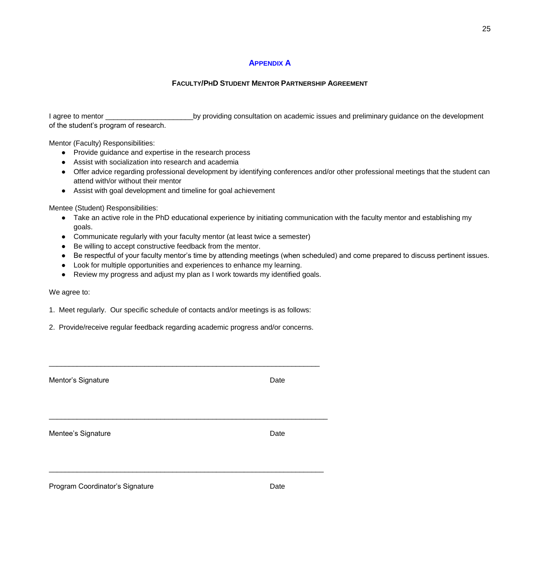#### <span id="page-24-0"></span>**A[PPENDIX](#page-24-0) A**

## **FACULTY/PHD STUDENT MENTOR PARTNERSHIP AGREEMENT**

<span id="page-24-1"></span>I agree to mentor \_\_\_\_\_\_\_\_\_\_\_\_\_\_\_\_\_\_\_\_\_\_by providing consultation on academic issues and preliminary guidance on the development of the student's program of research.

Mentor (Faculty) Responsibilities:

- Provide guidance and expertise in the research process
- Assist with socialization into research and academia
- Offer advice regarding professional development by identifying conferences and/or other professional meetings that the student can attend with/or without their mentor
- Assist with goal development and timeline for goal achievement

Mentee (Student) Responsibilities:

- Take an active role in the PhD educational experience by initiating communication with the faculty mentor and establishing my goals.
- Communicate regularly with your faculty mentor (at least twice a semester)
- Be willing to accept constructive feedback from the mentor.
- Be respectful of your faculty mentor's time by attending meetings (when scheduled) and come prepared to discuss pertinent issues.
- Look for multiple opportunities and experiences to enhance my learning.
- Review my progress and adjust my plan as I work towards my identified goals.

#### We agree to:

1. Meet regularly. Our specific schedule of contacts and/or meetings is as follows:

2. Provide/receive regular feedback regarding academic progress and/or concerns.

<span id="page-24-2"></span>

| Mentor's Signature              | Date |
|---------------------------------|------|
| Mentee's Signature              | Date |
| Program Coordinator's Signature | Date |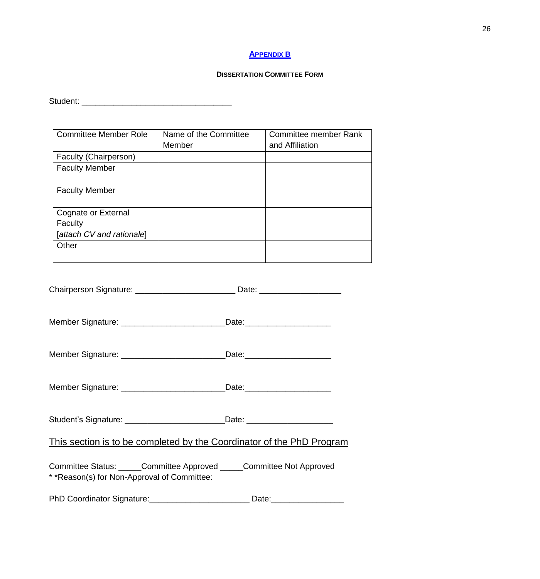# **A[PPENDIX](#page-24-2) B**

# **DISSERTATION COMMITTEE FORM**

<span id="page-25-1"></span><span id="page-25-0"></span>Student: \_\_\_\_\_\_\_\_\_\_\_\_\_\_\_\_\_\_\_\_\_\_\_\_\_\_\_\_\_\_\_\_\_

| <b>Committee Member Role</b> | Name of the Committee | <b>Committee member Rank</b> |
|------------------------------|-----------------------|------------------------------|
|                              | Member                | and Affiliation              |
| Faculty (Chairperson)        |                       |                              |
| <b>Faculty Member</b>        |                       |                              |
|                              |                       |                              |
| <b>Faculty Member</b>        |                       |                              |
|                              |                       |                              |
| Cognate or External          |                       |                              |
| Faculty                      |                       |                              |
| [attach CV and rationale]    |                       |                              |
| Other                        |                       |                              |
|                              |                       |                              |

<span id="page-25-2"></span>

| Chairperson Signature: ___________________________________Date: ________________                                     |  |
|----------------------------------------------------------------------------------------------------------------------|--|
| Member Signature: _______________________________Date:__________________________                                     |  |
| Member Signature: ______________________________Date:___________________________                                     |  |
| Member Signature: ______________________________Date: __________________________                                     |  |
| Student's Signature: _________________________________Date: ____________________                                     |  |
| This section is to be completed by the Coordinator of the PhD Program                                                |  |
| Committee Status: _____Committee Approved _____Committee Not Approved<br>* *Reason(s) for Non-Approval of Committee: |  |
| PhD Coordinator Signature: ___________________________                                                               |  |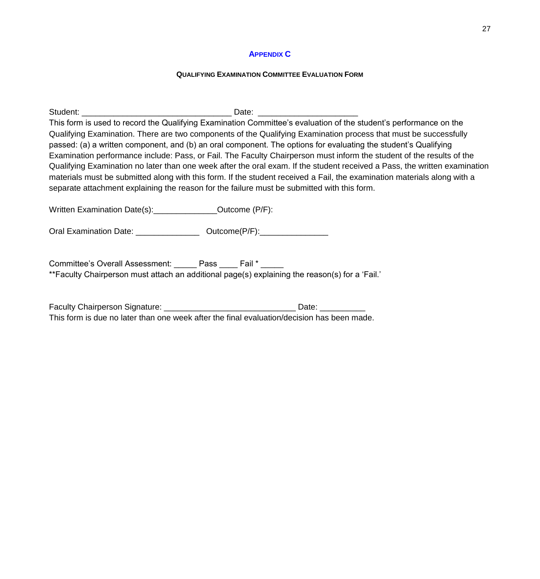## **A[PPENDIX](#page-25-2) C**

## **QUALIFYING EXAMINATION COMMITTEE EVALUATION FORM**

<span id="page-26-1"></span><span id="page-26-0"></span>

| separate attachment explaining the reason for the failure must be submitted with this form.                                                              | This form is used to record the Qualifying Examination Committee's evaluation of the student's performance on the<br>Qualifying Examination. There are two components of the Qualifying Examination process that must be successfully<br>passed: (a) a written component, and (b) an oral component. The options for evaluating the student's Qualifying<br>Examination performance include: Pass, or Fail. The Faculty Chairperson must inform the student of the results of the<br>Qualifying Examination no later than one week after the oral exam. If the student received a Pass, the written examination<br>materials must be submitted along with this form. If the student received a Fail, the examination materials along with a |
|----------------------------------------------------------------------------------------------------------------------------------------------------------|---------------------------------------------------------------------------------------------------------------------------------------------------------------------------------------------------------------------------------------------------------------------------------------------------------------------------------------------------------------------------------------------------------------------------------------------------------------------------------------------------------------------------------------------------------------------------------------------------------------------------------------------------------------------------------------------------------------------------------------------|
| Written Examination Date(s): Cambridge Countries Counter (P/F):                                                                                          |                                                                                                                                                                                                                                                                                                                                                                                                                                                                                                                                                                                                                                                                                                                                             |
| Oral Examination Date: ________________ Outcome(P/F):_______________                                                                                     |                                                                                                                                                                                                                                                                                                                                                                                                                                                                                                                                                                                                                                                                                                                                             |
| Committee's Overall Assessment: Pass ____ Fail * _____<br>**Faculty Chairperson must attach an additional page(s) explaining the reason(s) for a 'Fail.' |                                                                                                                                                                                                                                                                                                                                                                                                                                                                                                                                                                                                                                                                                                                                             |

Faculty Chairperson Signature: \_\_\_\_\_\_\_\_\_\_\_\_\_\_\_\_\_\_\_\_\_\_\_\_\_\_\_\_\_ Date: \_\_\_\_\_\_\_\_\_\_ This form is due no later than one week after the final evaluation/decision has been made.